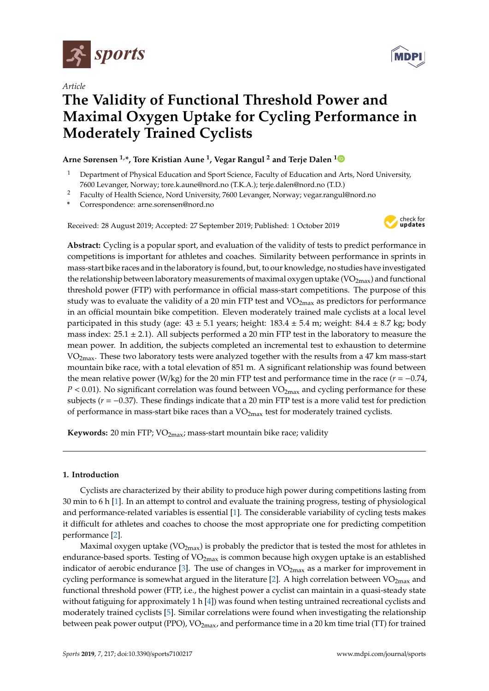

*Article*



# **The Validity of Functional Threshold Power and Maximal Oxygen Uptake for Cycling Performance in Moderately Trained Cyclists**

# **Arne Sørensen 1,\*, Tore Kristian Aune <sup>1</sup> , Vegar Rangul <sup>2</sup> and Terje Dalen [1](https://orcid.org/0000-0002-3073-4182)**

- <sup>1</sup> Department of Physical Education and Sport Science, Faculty of Education and Arts, Nord University, 7600 Levanger, Norway; tore.k.aune@nord.no (T.K.A.); terje.dalen@nord.no (T.D.)
- <sup>2</sup> Faculty of Health Science, Nord University, 7600 Levanger, Norway; vegar.rangul@nord.no
- **\*** Correspondence: arne.sorensen@nord.no

Received: 28 August 2019; Accepted: 27 September 2019; Published: 1 October 2019



**Abstract:** Cycling is a popular sport, and evaluation of the validity of tests to predict performance in competitions is important for athletes and coaches. Similarity between performance in sprints in mass-start bike races and in the laboratory is found, but, to our knowledge, no studies have investigated the relationship between laboratory measurements of maximal oxygen uptake  $(VO_{2max})$  and functional threshold power (FTP) with performance in official mass-start competitions. The purpose of this study was to evaluate the validity of a 20 min FTP test and  $VO<sub>2max</sub>$  as predictors for performance in an official mountain bike competition. Eleven moderately trained male cyclists at a local level participated in this study (age:  $43 \pm 5.1$  years; height:  $183.4 \pm 5.4$  m; weight:  $84.4 \pm 8.7$  kg; body mass index:  $25.1 \pm 2.1$ ). All subjects performed a 20 min FTP test in the laboratory to measure the mean power. In addition, the subjects completed an incremental test to exhaustion to determine VO<sub>2max</sub>. These two laboratory tests were analyzed together with the results from a 47 km mass-start mountain bike race, with a total elevation of 851 m. A significant relationship was found between the mean relative power (W/kg) for the 20 min FTP test and performance time in the race ( $r = -0.74$ ,  $P < 0.01$ ). No significant correlation was found between  $VO<sub>2max</sub>$ </sub> and cycling performance for these subjects ( $r = -0.37$ ). These findings indicate that a 20 min FTP test is a more valid test for prediction of performance in mass-start bike races than a  $VO<sub>2max</sub>$  test for moderately trained cyclists.

**Keywords:** 20 min FTP; VO<sub>2max</sub>; mass-start mountain bike race; validity

# **1. Introduction**

Cyclists are characterized by their ability to produce high power during competitions lasting from 30 min to 6 h [\[1\]](#page-6-0). In an attempt to control and evaluate the training progress, testing of physiological and performance-related variables is essential [\[1\]](#page-6-0). The considerable variability of cycling tests makes it difficult for athletes and coaches to choose the most appropriate one for predicting competition performance [\[2\]](#page-6-1).

Maximal oxygen uptake ( $VO<sub>2max</sub>$ ) is probably the predictor that is tested the most for athletes in endurance-based sports. Testing of  $VO<sub>2max</sub>$  is common because high oxygen uptake is an established indicator of aerobic endurance [\[3\]](#page-6-2). The use of changes in  $VO<sub>2max</sub>$  as a marker for improvement in cycling performance is somewhat argued in the literature [\[2\]](#page-6-1). A high correlation between  $VO<sub>2max</sub>$  and functional threshold power (FTP, i.e., the highest power a cyclist can maintain in a quasi-steady state without fatiguing for approximately 1 h  $[4]$ ) was found when testing untrained recreational cyclists and moderately trained cyclists [\[5\]](#page-6-4). Similar correlations were found when investigating the relationship between peak power output (PPO),  $VO_{2max}$ , and performance time in a 20 km time trial (TT) for trained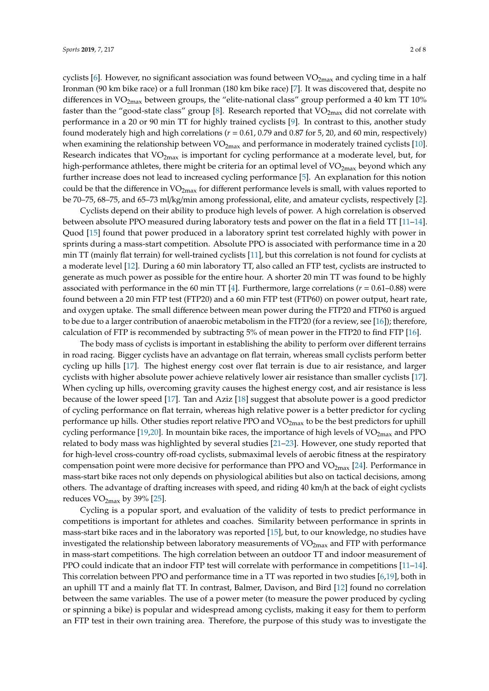cyclists [\[6\]](#page-6-5). However, no significant association was found between  $VO_{2max}$  and cycling time in a half Ironman (90 km bike race) or a full Ironman (180 km bike race) [\[7\]](#page-6-6). It was discovered that, despite no differences in  $VO<sub>2max</sub>$  between groups, the "elite-national class" group performed a 40 km TT 10% faster than the "good-state class" group [\[8\]](#page-6-7). Research reported that  $VO<sub>2max</sub>$  did not correlate with performance in a 20 or 90 min TT for highly trained cyclists [\[9\]](#page-6-8). In contrast to this, another study found moderately high and high correlations (*r* = 0.61, 0.79 and 0.87 for 5, 20, and 60 min, respectively) when examining the relationship between  $VO_{2max}$  and performance in moderately trained cyclists [\[10\]](#page-6-9). Research indicates that  $VO<sub>2max</sub>$  is important for cycling performance at a moderate level, but, for high-performance athletes, there might be criteria for an optimal level of  $VO<sub>2max</sub>$  beyond which any further increase does not lead to increased cycling performance [\[5\]](#page-6-4). An explanation for this notion could be that the difference in  $VO_{2max}$  for different performance levels is small, with values reported to be 70–75, 68–75, and 65–73 ml/kg/min among professional, elite, and amateur cyclists, respectively [\[2\]](#page-6-1).

Cyclists depend on their ability to produce high levels of power. A high correlation is observed between absolute PPO measured during laboratory tests and power on the flat in a field TT [\[11–](#page-6-10)[14\]](#page-6-11). Quod [\[15\]](#page-7-0) found that power produced in a laboratory sprint test correlated highly with power in sprints during a mass-start competition. Absolute PPO is associated with performance time in a 20 min TT (mainly flat terrain) for well-trained cyclists [\[11\]](#page-6-10), but this correlation is not found for cyclists at a moderate level [\[12\]](#page-6-12). During a 60 min laboratory TT, also called an FTP test, cyclists are instructed to generate as much power as possible for the entire hour. A shorter 20 min TT was found to be highly associated with performance in the 60 min TT [\[4\]](#page-6-3). Furthermore, large correlations ( $r = 0.61 - 0.88$ ) were found between a 20 min FTP test (FTP20) and a 60 min FTP test (FTP60) on power output, heart rate, and oxygen uptake. The small difference between mean power during the FTP20 and FTP60 is argued to be due to a larger contribution of anaerobic metabolism in the FTP20 (for a review, see [\[16\]](#page-7-1)); therefore, calculation of FTP is recommended by subtracting 5% of mean power in the FTP20 to find FTP [\[16\]](#page-7-1).

The body mass of cyclists is important in establishing the ability to perform over different terrains in road racing. Bigger cyclists have an advantage on flat terrain, whereas small cyclists perform better cycling up hills [\[17\]](#page-7-2). The highest energy cost over flat terrain is due to air resistance, and larger cyclists with higher absolute power achieve relatively lower air resistance than smaller cyclists [\[17\]](#page-7-2). When cycling up hills, overcoming gravity causes the highest energy cost, and air resistance is less because of the lower speed [\[17\]](#page-7-2). Tan and Aziz [\[18\]](#page-7-3) suggest that absolute power is a good predictor of cycling performance on flat terrain, whereas high relative power is a better predictor for cycling performance up hills. Other studies report relative PPO and VO<sub>2max</sub> to be the best predictors for uphill cycling performance [\[19,](#page-7-4)[20\]](#page-7-5). In mountain bike races, the importance of high levels of  $VO_{2max}$  and PPO related to body mass was highlighted by several studies [\[21–](#page-7-6)[23\]](#page-7-7). However, one study reported that for high-level cross-country off-road cyclists, submaximal levels of aerobic fitness at the respiratory compensation point were more decisive for performance than PPO and  $VO_{2max}$  [\[24\]](#page-7-8). Performance in mass-start bike races not only depends on physiological abilities but also on tactical decisions, among others. The advantage of drafting increases with speed, and riding 40 km/h at the back of eight cyclists reduces  $VO<sub>2max</sub>$  by 39% [\[25\]](#page-7-9).

Cycling is a popular sport, and evaluation of the validity of tests to predict performance in competitions is important for athletes and coaches. Similarity between performance in sprints in mass-start bike races and in the laboratory was reported [\[15\]](#page-7-0), but, to our knowledge, no studies have investigated the relationship between laboratory measurements of  $VO<sub>2max</sub>$  and FTP with performance in mass-start competitions. The high correlation between an outdoor TT and indoor measurement of PPO could indicate that an indoor FTP test will correlate with performance in competitions [\[11–](#page-6-10)[14\]](#page-6-11). This correlation between PPO and performance time in a TT was reported in two studies [\[6,](#page-6-5)[19\]](#page-7-4), both in an uphill TT and a mainly flat TT. In contrast, Balmer, Davison, and Bird [\[12\]](#page-6-12) found no correlation between the same variables. The use of a power meter (to measure the power produced by cycling or spinning a bike) is popular and widespread among cyclists, making it easy for them to perform an FTP test in their own training area. Therefore, the purpose of this study was to investigate the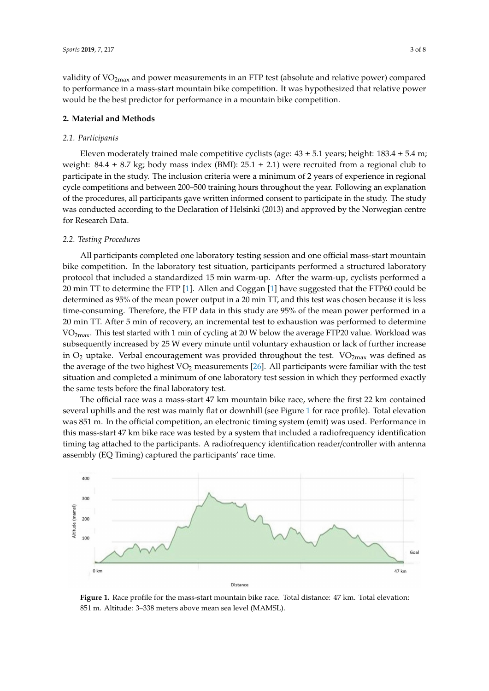validity of VO<sub>2max</sub> and power measurements in an FTP test (absolute and relative power) compared to performance in a mass-start mountain bike competition. It was hypothesized that relative power would be the best predictor for performance in a mountain bike competition.

# **2. Material and Methods**

# *2.1. Participants*

Eleven moderately trained male competitive cyclists (age:  $43 \pm 5.1$  years; height:  $183.4 \pm 5.4$  m; weight: 84.4  $\pm$  8.7 kg; body mass index (BMI): 25.1  $\pm$  2.1) were recruited from a regional club to participate in the study. The inclusion criteria were a minimum of 2 years of experience in regional cycle competitions and between 200–500 training hours throughout the year. Following an explanation of the procedures, all participants gave written informed consent to participate in the study. The study was conducted according to the Declaration of Helsinki (2013) and approved by the Norwegian centre for Research Data.

# *2.2. Testing Procedures*

All participants completed one laboratory testing session and one official mass-start mountain bike competition. In the laboratory test situation, participants performed a structured laboratory protocol that included a standardized 15 min warm-up. After the warm-up, cyclists performed a 20 min TT to determine the FTP [\[1\]](#page-6-0). Allen and Coggan [\[1\]](#page-6-0) have suggested that the FTP60 could be determined as 95% of the mean power output in a 20 min TT, and this test was chosen because it is less time-consuming. Therefore, the FTP data in this study are 95% of the mean power performed in a 20 min TT. After 5 min of recovery, an incremental test to exhaustion was performed to determine VO<sub>2max</sub>. This test started with 1 min of cycling at 20 W below the average FTP20 value. Workload was subsequently increased by 25 W every minute until voluntary exhaustion or lack of further increase in  $O_2$  uptake. Verbal encouragement was provided throughout the test. V $O_{2\text{max}}$  was defined as the average of the two highest  $VO<sub>2</sub>$  measurements [\[26\]](#page-7-10). All participants were familiar with the test situation and completed a minimum of one laboratory test session in which they performed exactly the same tests before the final laboratory test.

The official race was a mass-start 47 km mountain bike race, where the first 22 km contained several uphills and the rest was mainly flat or downhill (see Figure [1](#page-2-0) for race profile). Total elevation was 851 m. In the official competition, an electronic timing system (emit) was used. Performance in this mass-start 47 km bike race was tested by a system that included a radiofrequency identification timing tag attached to the participants. A radiofrequency identification reader/controller with antenna assembly (EQ Timing) captured the participants' race time.

<span id="page-2-0"></span>

**Figure 1.** Race profile for the mass-start mountain bike race. Total distance: 47 km. Total elevation: 851 m. Altitude: 3–338 meters above mean sea level (MAMSL).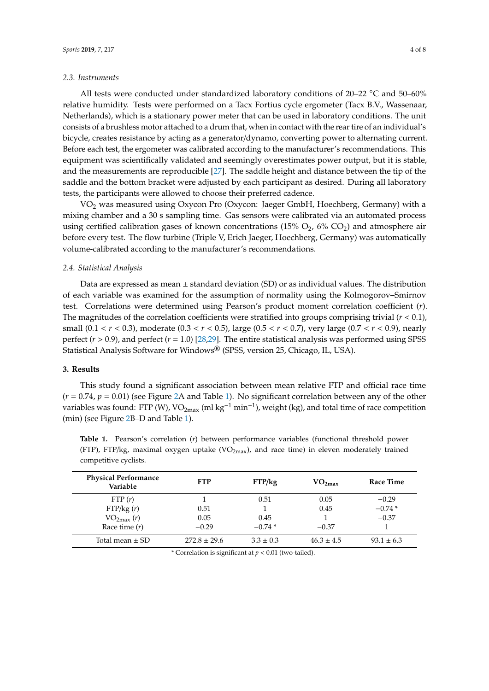#### *2.3. Instruments*

All tests were conducted under standardized laboratory conditions of  $20-22$  °C and  $50-60\%$ relative humidity. Tests were performed on a Tacx Fortius cycle ergometer (Tacx B.V., Wassenaar, Netherlands), which is a stationary power meter that can be used in laboratory conditions. The unit consists of a brushless motor attached to a drum that, when in contact with the rear tire of an individual's bicycle, creates resistance by acting as a generator/dynamo, converting power to alternating current. Before each test, the ergometer was calibrated according to the manufacturer's recommendations. This equipment was scientifically validated and seemingly overestimates power output, but it is stable, and the measurements are reproducible [\[27\]](#page-7-11). The saddle height and distance between the tip of the saddle and the bottom bracket were adjusted by each participant as desired. During all laboratory tests, the participants were allowed to choose their preferred cadence.

VO<sup>2</sup> was measured using Oxycon Pro (Oxycon: Jaeger GmbH, Hoechberg, Germany) with a mixing chamber and a 30 s sampling time. Gas sensors were calibrated via an automated process using certified calibration gases of known concentrations  $(15\% O_2, 6\% CO_2)$  and atmosphere air before every test. The flow turbine (Triple V, Erich Jaeger, Hoechberg, Germany) was automatically volume-calibrated according to the manufacturer's recommendations.

# *2.4. Statistical Analysis*

Data are expressed as mean  $\pm$  standard deviation (SD) or as individual values. The distribution of each variable was examined for the assumption of normality using the Kolmogorov–Smirnov test. Correlations were determined using Pearson's product moment correlation coefficient (*r*). The magnitudes of the correlation coefficients were stratified into groups comprising trivial (*r* < 0.1), small (0.1 < *r* < 0.3), moderate (0.3 < *r* < 0.5), large (0.5 < *r* < 0.7), very large (0.7 < *r* < 0.9), nearly perfect  $(r > 0.9)$ , and perfect  $(r = 1.0)$  [\[28](#page-7-12)[,29\]](#page-7-13). The entire statistical analysis was performed using SPSS Statistical Analysis Software for Windows® (SPSS, version 25, Chicago, IL, USA).

#### **3. Results**

This study found a significant association between mean relative FTP and official race time  $(r = 0.74, p = 0.01)$  $(r = 0.74, p = 0.01)$  (see Figure [2A](#page-4-0) and Table 1). No significant correlation between any of the other variables was found: FTP (W), VO<sub>2max</sub> (ml kg<sup>-1</sup> min<sup>-1</sup>), weight (kg), and total time of race competition (min) (see Figure [2B](#page-4-0)–D and Table [1\)](#page-3-0).

| <b>Physical Performance</b><br>Variable | <b>FTP</b>       | FTP/kg        | VO <sub>2max</sub> | Race Time      |
|-----------------------------------------|------------------|---------------|--------------------|----------------|
| FTP(r)                                  |                  | 0.51          | 0.05               | $-0.29$        |
| FTP/kg(r)                               | 0.51             |               | 0.45               | $-0.74*$       |
| $VO_{2max}(r)$                          | 0.05             | 0.45          |                    | $-0.37$        |
| Race time $(r)$                         | $-0.29$          | $-0.74*$      | $-0.37$            |                |
| Total mean $\pm$ SD                     | $272.8 \pm 29.6$ | $3.3 \pm 0.3$ | $46.3 \pm 4.5$     | $93.1 \pm 6.3$ |

<span id="page-3-0"></span>**Table 1.** Pearson's correlation (*r*) between performance variables (functional threshold power (FTP), FTP/kg, maximal oxygen uptake (VO<sub>2max</sub>), and race time) in eleven moderately trained competitive cyclists.

\* Correlation is significant at *p* < 0.01 (two-tailed).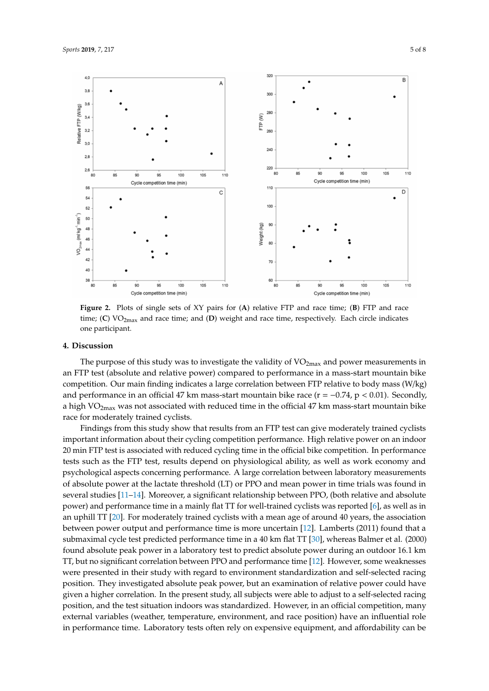<span id="page-4-0"></span>

**Figure 2.** Plots of single sets of XY pairs for (**A**) relative FTP and race time; (**B**) FTP and race time; (C) VO<sub>2max</sub> and race time; and (D) weight and race time, respectively. Each circle indicates one participant.

## **4. Discussion**

The purpose of this study was to investigate the validity of  $VO<sub>2max</sub>$  and power measurements in an FTP test (absolute and relative power) compared to performance in a mass-start mountain bike competition. Our main finding indicates a large correlation between FTP relative to body mass (W/kg) and performance in an official 47 km mass-start mountain bike race ( $r = -0.74$ ,  $p < 0.01$ ). Secondly, a high  $VO<sub>2max</sub>$  was not associated with reduced time in the official 47 km mass-start mountain bike race for moderately trained cyclists.

Findings from this study show that results from an FTP test can give moderately trained cyclists important information about their cycling competition performance. High relative power on an indoor 20 min FTP test is associated with reduced cycling time in the official bike competition. In performance tests such as the FTP test, results depend on physiological ability, as well as work economy and psychological aspects concerning performance. A large correlation between laboratory measurements of absolute power at the lactate threshold (LT) or PPO and mean power in time trials was found in several studies [\[11–](#page-6-10)[14\]](#page-6-11). Moreover, a significant relationship between PPO, (both relative and absolute power) and performance time in a mainly flat TT for well-trained cyclists was reported [\[6\]](#page-6-5), as well as in an uphill TT [\[20\]](#page-7-5). For moderately trained cyclists with a mean age of around 40 years, the association between power output and performance time is more uncertain [\[12\]](#page-6-12). Lamberts (2011) found that a submaximal cycle test predicted performance time in a 40 km flat TT [\[30\]](#page-7-14), whereas Balmer et al. (2000) found absolute peak power in a laboratory test to predict absolute power during an outdoor 16.1 km TT, but no significant correlation between PPO and performance time [\[12\]](#page-6-12). However, some weaknesses were presented in their study with regard to environment standardization and self-selected racing position. They investigated absolute peak power, but an examination of relative power could have given a higher correlation. In the present study, all subjects were able to adjust to a self-selected racing position, and the test situation indoors was standardized. However, in an official competition, many external variables (weather, temperature, environment, and race position) have an influential role in performance time. Laboratory tests often rely on expensive equipment, and affordability can be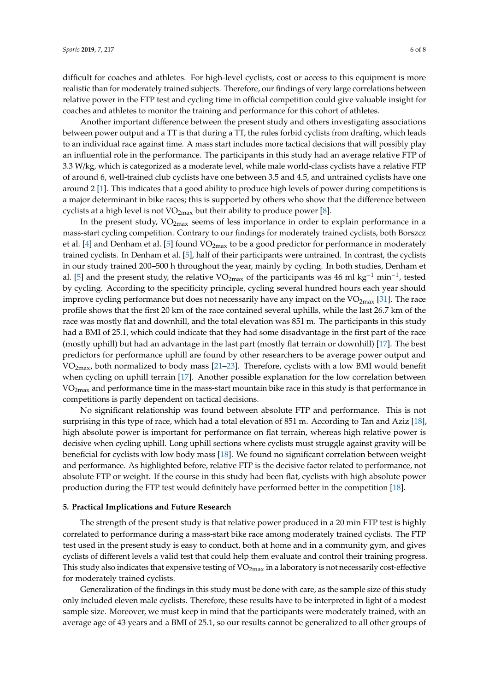difficult for coaches and athletes. For high-level cyclists, cost or access to this equipment is more realistic than for moderately trained subjects. Therefore, our findings of very large correlations between relative power in the FTP test and cycling time in official competition could give valuable insight for coaches and athletes to monitor the training and performance for this cohort of athletes.

Another important difference between the present study and others investigating associations between power output and a TT is that during a TT, the rules forbid cyclists from drafting, which leads to an individual race against time. A mass start includes more tactical decisions that will possibly play an influential role in the performance. The participants in this study had an average relative FTP of 3.3 W/kg, which is categorized as a moderate level, while male world-class cyclists have a relative FTP of around 6, well-trained club cyclists have one between 3.5 and 4.5, and untrained cyclists have one around 2 [\[1\]](#page-6-0). This indicates that a good ability to produce high levels of power during competitions is a major determinant in bike races; this is supported by others who show that the difference between cyclists at a high level is not  $VO_{2max}$  but their ability to produce power [\[8\]](#page-6-7).

In the present study,  $VO<sub>2max</sub>$  seems of less importance in order to explain performance in a mass-start cycling competition. Contrary to our findings for moderately trained cyclists, both Borszcz et al. [\[4\]](#page-6-3) and Denham et al. [\[5\]](#page-6-4) found  $VO_{2max}$  to be a good predictor for performance in moderately trained cyclists. In Denham et al. [\[5\]](#page-6-4), half of their participants were untrained. In contrast, the cyclists in our study trained 200–500 h throughout the year, mainly by cycling. In both studies, Denham et al. [\[5\]](#page-6-4) and the present study, the relative VO<sub>2max</sub> of the participants was 46 ml kg<sup>-1</sup> min<sup>-1</sup>, tested by cycling. According to the specificity principle, cycling several hundred hours each year should improve cycling performance but does not necessarily have any impact on the  $VO<sub>2max</sub>$  [\[31\]](#page-7-15). The race profile shows that the first 20 km of the race contained several uphills, while the last 26.7 km of the race was mostly flat and downhill, and the total elevation was 851 m. The participants in this study had a BMI of 25.1, which could indicate that they had some disadvantage in the first part of the race (mostly uphill) but had an advantage in the last part (mostly flat terrain or downhill) [\[17\]](#page-7-2). The best predictors for performance uphill are found by other researchers to be average power output and  $VO<sub>2max</sub>$ , both normalized to body mass [\[21–](#page-7-6)[23\]](#page-7-7). Therefore, cyclists with a low BMI would benefit when cycling on uphill terrain [\[17\]](#page-7-2). Another possible explanation for the low correlation between  $VO<sub>2max</sub>$  and performance time in the mass-start mountain bike race in this study is that performance in competitions is partly dependent on tactical decisions.

No significant relationship was found between absolute FTP and performance. This is not surprising in this type of race, which had a total elevation of 851 m. According to Tan and Aziz [\[18\]](#page-7-3), high absolute power is important for performance on flat terrain, whereas high relative power is decisive when cycling uphill. Long uphill sections where cyclists must struggle against gravity will be beneficial for cyclists with low body mass [\[18\]](#page-7-3). We found no significant correlation between weight and performance. As highlighted before, relative FTP is the decisive factor related to performance, not absolute FTP or weight. If the course in this study had been flat, cyclists with high absolute power production during the FTP test would definitely have performed better in the competition [\[18\]](#page-7-3).

# **5. Practical Implications and Future Research**

The strength of the present study is that relative power produced in a 20 min FTP test is highly correlated to performance during a mass-start bike race among moderately trained cyclists. The FTP test used in the present study is easy to conduct, both at home and in a community gym, and gives cyclists of different levels a valid test that could help them evaluate and control their training progress. This study also indicates that expensive testing of  $VO_{2max}$  in a laboratory is not necessarily cost-effective for moderately trained cyclists.

Generalization of the findings in this study must be done with care, as the sample size of this study only included eleven male cyclists. Therefore, these results have to be interpreted in light of a modest sample size. Moreover, we must keep in mind that the participants were moderately trained, with an average age of 43 years and a BMI of 25.1, so our results cannot be generalized to all other groups of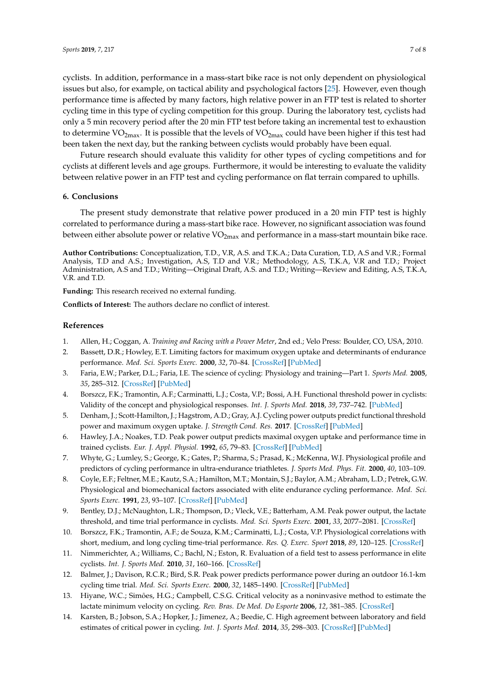cyclists. In addition, performance in a mass-start bike race is not only dependent on physiological issues but also, for example, on tactical ability and psychological factors [\[25\]](#page-7-9). However, even though performance time is affected by many factors, high relative power in an FTP test is related to shorter cycling time in this type of cycling competition for this group. During the laboratory test, cyclists had only a 5 min recovery period after the 20 min FTP test before taking an incremental test to exhaustion to determine  $VO_{2max}$ . It is possible that the levels of  $VO_{2max}$  could have been higher if this test had been taken the next day, but the ranking between cyclists would probably have been equal.

Future research should evaluate this validity for other types of cycling competitions and for cyclists at different levels and age groups. Furthermore, it would be interesting to evaluate the validity between relative power in an FTP test and cycling performance on flat terrain compared to uphills.

# **6. Conclusions**

The present study demonstrate that relative power produced in a 20 min FTP test is highly correlated to performance during a mass-start bike race. However, no significant association was found between either absolute power or relative  $VO_{2max}$  and performance in a mass-start mountain bike race.

**Author Contributions:** Conceptualization, T.D., V.R, A.S. and T.K.A.; Data Curation, T.D, A.S and V.R.; Formal Analysis, T.D and A.S.; Investigation, A.S, T.D and V.R.; Methodology, A.S, T.K.A, V.R and T.D.; Project Administration, A.S and T.D.; Writing—Original Draft, A.S. and T.D.; Writing—Review and Editing, A.S, T.K.A, V.R. and T.D.

**Funding:** This research received no external funding.

**Conflicts of Interest:** The authors declare no conflict of interest.

#### **References**

- <span id="page-6-0"></span>1. Allen, H.; Coggan, A. *Training and Racing with a Power Meter*, 2nd ed.; Velo Press: Boulder, CO, USA, 2010.
- <span id="page-6-1"></span>2. Bassett, D.R.; Howley, E.T. Limiting factors for maximum oxygen uptake and determinants of endurance performance. *Med. Sci. Sports Exerc.* **2000**, *32*, 70–84. [\[CrossRef\]](http://dx.doi.org/10.1097/00005768-200001000-00012) [\[PubMed\]](http://www.ncbi.nlm.nih.gov/pubmed/10647532)
- <span id="page-6-2"></span>3. Faria, E.W.; Parker, D.L.; Faria, I.E. The science of cycling: Physiology and training—Part 1. *Sports Med.* **2005**, *35*, 285–312. [\[CrossRef\]](http://dx.doi.org/10.2165/00007256-200535040-00002) [\[PubMed\]](http://www.ncbi.nlm.nih.gov/pubmed/15831059)
- <span id="page-6-3"></span>4. Borszcz, F.K.; Tramontin, A.F.; Carminatti, L.J.; Costa, V.P.; Bossi, A.H. Functional threshold power in cyclists: Validity of the concept and physiological responses. *Int. J. Sports Med.* **2018**, *39*, 737–742. [\[PubMed\]](http://www.ncbi.nlm.nih.gov/pubmed/29801189)
- <span id="page-6-4"></span>5. Denham, J.; Scott-Hamilton, J.; Hagstrom, A.D.; Gray, A.J. Cycling power outputs predict functional threshold power and maximum oxygen uptake. *J. Strength Cond. Res.* **2017**. [\[CrossRef\]](http://dx.doi.org/10.1519/JSC.0000000000002253) [\[PubMed\]](http://www.ncbi.nlm.nih.gov/pubmed/28930880)
- <span id="page-6-5"></span>6. Hawley, J.A.; Noakes, T.D. Peak power output predicts maximal oxygen uptake and performance time in trained cyclists. *Eur. J. Appl. Physiol.* **1992**, *65*, 79–83. [\[CrossRef\]](http://dx.doi.org/10.1007/BF01466278) [\[PubMed\]](http://www.ncbi.nlm.nih.gov/pubmed/1505544)
- <span id="page-6-6"></span>7. Whyte, G.; Lumley, S.; George, K.; Gates, P.; Sharma, S.; Prasad, K.; McKenna, W.J. Physiological profile and predictors of cycling performance in ultra-endurance triathletes. *J. Sports Med. Phys. Fit.* **2000**, *40*, 103–109.
- <span id="page-6-7"></span>8. Coyle, E.F.; Feltner, M.E.; Kautz, S.A.; Hamilton, M.T.; Montain, S.J.; Baylor, A.M.; Abraham, L.D.; Petrek, G.W. Physiological and biomechanical factors associated with elite endurance cycling performance. *Med. Sci. Sports Exerc.* **1991**, *23*, 93–107. [\[CrossRef\]](http://dx.doi.org/10.1249/00005768-199101000-00015) [\[PubMed\]](http://www.ncbi.nlm.nih.gov/pubmed/1997818)
- <span id="page-6-8"></span>9. Bentley, D.J.; McNaughton, L.R.; Thompson, D.; Vleck, V.E.; Batterham, A.M. Peak power output, the lactate threshold, and time trial performance in cyclists. *Med. Sci. Sports Exerc.* **2001**, *33*, 2077–2081. [\[CrossRef\]](http://dx.doi.org/10.1097/00005768-200112000-00016)
- <span id="page-6-9"></span>10. Borszcz, F.K.; Tramontin, A.F.; de Souza, K.M.; Carminatti, L.J.; Costa, V.P. Physiological correlations with short, medium, and long cycling time-trial performance. *Res. Q. Exerc. Sport* **2018**, *89*, 120–125. [\[CrossRef\]](http://dx.doi.org/10.1080/02701367.2017.1411578)
- <span id="page-6-10"></span>11. Nimmerichter, A.; Williams, C.; Bachl, N.; Eston, R. Evaluation of a field test to assess performance in elite cyclists. *Int. J. Sports Med.* **2010**, *31*, 160–166. [\[CrossRef\]](http://dx.doi.org/10.1055/s-0029-1243222)
- <span id="page-6-12"></span>12. Balmer, J.; Davison, R.C.R.; Bird, S.R. Peak power predicts performance power during an outdoor 16.1-km cycling time trial. *Med. Sci. Sports Exerc.* **2000**, *32*, 1485–1490. [\[CrossRef\]](http://dx.doi.org/10.1097/00005768-200008000-00018) [\[PubMed\]](http://www.ncbi.nlm.nih.gov/pubmed/10949016)
- 13. Hiyane, W.C.; Simões, H.G.; Campbell, C.S.G. Critical velocity as a noninvasive method to estimate the lactate minimum velocity on cycling. *Rev. Bras. De Med. Do Esporte* **2006**, *12*, 381–385. [\[CrossRef\]](http://dx.doi.org/10.1590/S1517-86922006000600016)
- <span id="page-6-11"></span>14. Karsten, B.; Jobson, S.A.; Hopker, J.; Jimenez, A.; Beedie, C. High agreement between laboratory and field estimates of critical power in cycling. *Int. J. Sports Med.* **2014**, *35*, 298–303. [\[CrossRef\]](http://dx.doi.org/10.1055/s-0033-1349844) [\[PubMed\]](http://www.ncbi.nlm.nih.gov/pubmed/24022574)